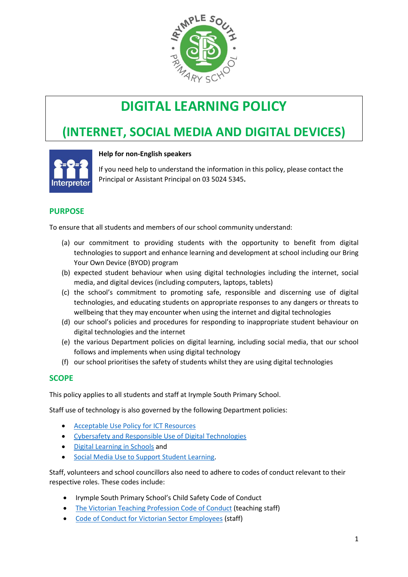

# **DIGITAL LEARNING POLICY**

# **(INTERNET, SOCIAL MEDIA AND DIGITAL DEVICES)**



#### **Help for non-English speakers**

If you need help to understand the information in this policy, please contact the Principal or Assistant Principal on 03 5024 5345.

# **PURPOSE**

To ensure that all students and members of our school community understand:

- (a) our commitment to providing students with the opportunity to benefit from digital technologies to support and enhance learning and development at school including our Bring Your Own Device (BYOD) program
- (b) expected student behaviour when using digital technologies including the internet, social media, and digital devices (including computers, laptops, tablets)
- (c) the school's commitment to promoting safe, responsible and discerning use of digital technologies, and educating students on appropriate responses to any dangers or threats to wellbeing that they may encounter when using the internet and digital technologies
- (d) our school's policies and procedures for responding to inappropriate student behaviour on digital technologies and the internet
- (e) the various Department policies on digital learning, including social media, that our school follows and implements when using digital technology
- (f) our school prioritises the safety of students whilst they are using digital technologies

#### **SCOPE**

This policy applies to all students and staff at Irymple South Primary School.

Staff use of technology is also governed by the following Department policies:

- [Acceptable Use Policy](https://www2.education.vic.gov.au/pal/ict-acceptable-use/overview) for ICT Resources
- [Cybersafety and Responsible Use of Digital Technologies](https://www2.education.vic.gov.au/pal/cybersafety/policy)
- [Digital Learning in Schools](https://www2.education.vic.gov.au/pal/digital-learning/policy) and
- [Social Media Use to Support Student Learning.](https://www2.education.vic.gov.au/pal/social-media/policy)

Staff, volunteers and school councillors also need to adhere to codes of conduct relevant to their respective roles. These codes include:

- Irymple South Primary School's Child Safety Code of Conduct
- [The Victorian Teaching Profession Code of Conduct](https://www.vit.vic.edu.au/__data/assets/pdf_file/0018/35604/Code-of-Conduct-2016.pdf) (teaching staff)
- [Code of Conduct for Victorian Sector Employees](https://www2.education.vic.gov.au/pal/code-conduct/overview) (staff)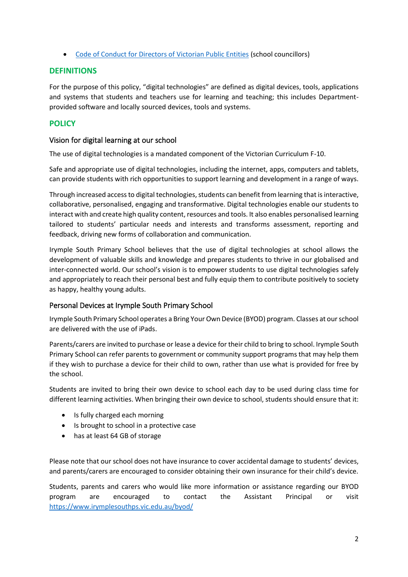• [Code of Conduct for Directors of Victorian Public Entities](https://www2.education.vic.gov.au/pal/school-council-conduct/policy) (school councillors)

# **DEFINITIONS**

For the purpose of this policy, "digital technologies" are defined as digital devices, tools, applications and systems that students and teachers use for learning and teaching; this includes Departmentprovided software and locally sourced devices, tools and systems.

# **POLICY**

#### Vision for digital learning at our school

The use of digital technologies is a mandated component of the Victorian Curriculum F-10.

Safe and appropriate use of digital technologies, including the internet, apps, computers and tablets, can provide students with rich opportunities to support learning and development in a range of ways.

Through increased access to digital technologies, students can benefit from learning that is interactive, collaborative, personalised, engaging and transformative. Digital technologies enable our students to interact with and create high quality content, resources and tools. It also enables personalised learning tailored to students' particular needs and interests and transforms assessment, reporting and feedback, driving new forms of collaboration and communication.

Irymple South Primary School believes that the use of digital technologies at school allows the development of valuable skills and knowledge and prepares students to thrive in our globalised and inter-connected world. Our school's vision is to empower students to use digital technologies safely and appropriately to reach their personal best and fully equip them to contribute positively to society as happy, healthy young adults.

# Personal Devices at Irymple South Primary School

Irymple South Primary School operates a Bring Your Own Device (BYOD) program. Classes at our school are delivered with the use of iPads.

Parents/carers are invited to purchase or lease a device for their child to bring to school. Irymple South Primary School can refer parents to government or community support programs that may help them if they wish to purchase a device for their child to own, rather than use what is provided for free by the school.

Students are invited to bring their own device to school each day to be used during class time for different learning activities. When bringing their own device to school, students should ensure that it:

- Is fully charged each morning
- Is brought to school in a protective case
- has at least 64 GB of storage

Please note that our school does not have insurance to cover accidental damage to students' devices, and parents/carers are encouraged to consider obtaining their own insurance for their child's device.

Students, parents and carers who would like more information or assistance regarding our BYOD program are encouraged to contact the Assistant Principal or visit <https://www.irymplesouthps.vic.edu.au/byod/>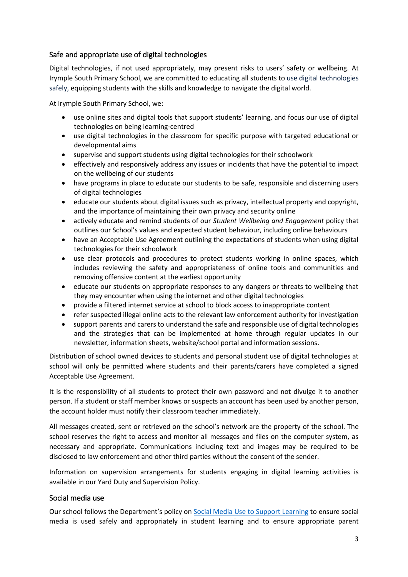# Safe and appropriate use of digital technologies

Digital technologies, if not used appropriately, may present risks to users' safety or wellbeing. At Irymple South Primary School, we are committed to educating all students to use digital technologies safely, equipping students with the skills and knowledge to navigate the digital world.

At Irymple South Primary School, we:

- use online sites and digital tools that support students' learning, and focus our use of digital technologies on being learning-centred
- use digital technologies in the classroom for specific purpose with targeted educational or developmental aims
- supervise and support students using digital technologies for their schoolwork
- effectively and responsively address any issues or incidents that have the potential to impact on the wellbeing of our students
- have programs in place to educate our students to be safe, responsible and discerning users of digital technologies
- educate our students about digital issues such as privacy, intellectual property and copyright, and the importance of maintaining their own privacy and security online
- actively educate and remind students of our *Student Wellbeing and Engagement* policy that outlines our School's values and expected student behaviour, including online behaviours
- have an Acceptable Use Agreement outlining the expectations of students when using digital technologies for their schoolwork
- use clear protocols and procedures to protect students working in online spaces, which includes reviewing the safety and appropriateness of online tools and communities and removing offensive content at the earliest opportunity
- educate our students on appropriate responses to any dangers or threats to wellbeing that they may encounter when using the internet and other digital technologies
- provide a filtered internet service at school to block access to inappropriate content
- refer suspected illegal online acts to the relevant law enforcement authority for investigation
- support parents and carers to understand the safe and responsible use of digital technologies and the strategies that can be implemented at home through regular updates in our newsletter, information sheets, website/school portal and information sessions.

Distribution of school owned devices to students and personal student use of digital technologies at school will only be permitted where students and their parents/carers have completed a signed Acceptable Use Agreement.

It is the responsibility of all students to protect their own password and not divulge it to another person. If a student or staff member knows or suspects an account has been used by another person, the account holder must notify their classroom teacher immediately.

All messages created, sent or retrieved on the school's network are the property of the school. The school reserves the right to access and monitor all messages and files on the computer system, as necessary and appropriate. Communications including text and images may be required to be disclosed to law enforcement and other third parties without the consent of the sender.

Information on supervision arrangements for students engaging in digital learning activities is available in our Yard Duty and Supervision Policy.

#### Social media use

Our school follows the Department's policy on [Social Media Use to Support Learning](https://www2.education.vic.gov.au/pal/social-media/policy) to ensure social media is used safely and appropriately in student learning and to ensure appropriate parent